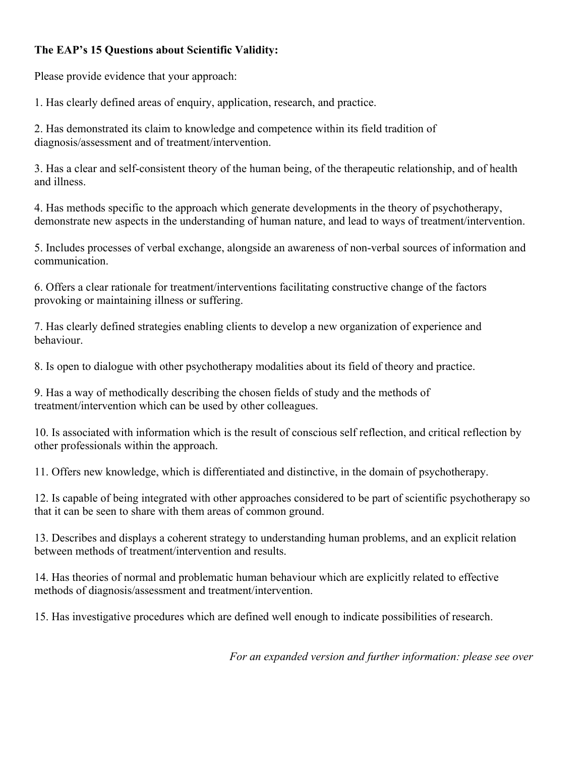# **The EAP's 15 Questions about Scientific Validity:**

Please provide evidence that your approach:

1. Has clearly defined areas of enquiry, application, research, and practice.

2. Has demonstrated its claim to knowledge and competence within its field tradition of diagnosis/assessment and of treatment/intervention.

3. Has a clear and self-consistent theory of the human being, of the therapeutic relationship, and of health and illness.

4. Has methods specific to the approach which generate developments in the theory of psychotherapy, demonstrate new aspects in the understanding of human nature, and lead to ways of treatment/intervention.

5. Includes processes of verbal exchange, alongside an awareness of non-verbal sources of information and communication.

6. Offers a clear rationale for treatment/interventions facilitating constructive change of the factors provoking or maintaining illness or suffering.

7. Has clearly defined strategies enabling clients to develop a new organization of experience and behaviour.

8. Is open to dialogue with other psychotherapy modalities about its field of theory and practice.

9. Has a way of methodically describing the chosen fields of study and the methods of treatment/intervention which can be used by other colleagues.

10. Is associated with information which is the result of conscious self reflection, and critical reflection by other professionals within the approach.

11. Offers new knowledge, which is differentiated and distinctive, in the domain of psychotherapy.

12. Is capable of being integrated with other approaches considered to be part of scientific psychotherapy so that it can be seen to share with them areas of common ground.

13. Describes and displays a coherent strategy to understanding human problems, and an explicit relation between methods of treatment/intervention and results.

14. Has theories of normal and problematic human behaviour which are explicitly related to effective methods of diagnosis/assessment and treatment/intervention.

15. Has investigative procedures which are defined well enough to indicate possibilities of research.

*For an expanded version and further information: please see over*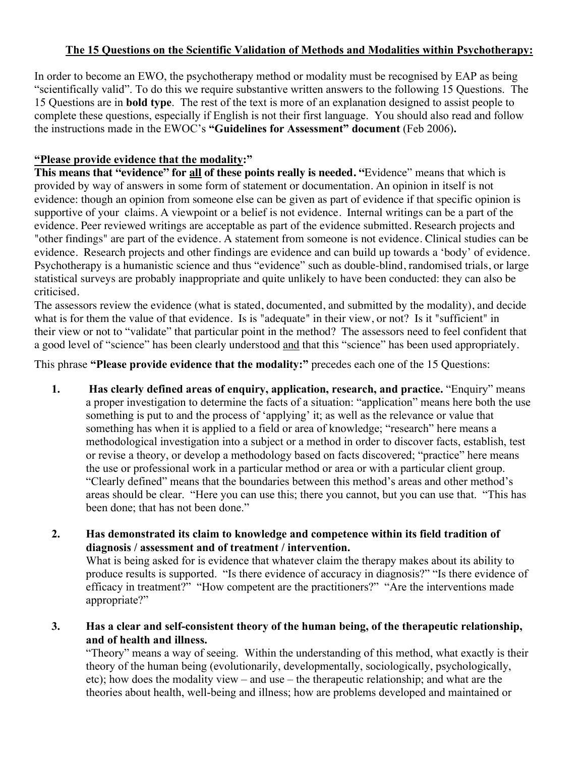## **The 15 Questions on the Scientific Validation of Methods and Modalities within Psychotherapy:**

In order to become an EWO, the psychotherapy method or modality must be recognised by EAP as being "scientifically valid". To do this we require substantive written answers to the following 15 Questions. The 15 Questions are in **bold type**. The rest of the text is more of an explanation designed to assist people to complete these questions, especially if English is not their first language. You should also read and follow the instructions made in the EWOC's **"Guidelines for Assessment" document** (Feb 2006)**.**

## **"Please provide evidence that the modality:"**

**This means that "evidence" for all of these points really is needed. "**Evidence" means that which is provided by way of answers in some form of statement or documentation. An opinion in itself is not evidence: though an opinion from someone else can be given as part of evidence if that specific opinion is supportive of your claims. A viewpoint or a belief is not evidence. Internal writings can be a part of the evidence. Peer reviewed writings are acceptable as part of the evidence submitted. Research projects and "other findings" are part of the evidence. A statement from someone is not evidence. Clinical studies can be evidence. Research projects and other findings are evidence and can build up towards a 'body' of evidence. Psychotherapy is a humanistic science and thus "evidence" such as double-blind, randomised trials, or large statistical surveys are probably inappropriate and quite unlikely to have been conducted: they can also be criticised.

The assessors review the evidence (what is stated, documented, and submitted by the modality), and decide what is for them the value of that evidence. Is is "adequate" in their view, or not? Is it "sufficient" in their view or not to "validate" that particular point in the method? The assessors need to feel confident that a good level of "science" has been clearly understood and that this "science" has been used appropriately.

This phrase **"Please provide evidence that the modality:"** precedes each one of the 15 Questions:

- **1. Has clearly defined areas of enquiry, application, research, and practice.** "Enquiry" means a proper investigation to determine the facts of a situation: "application" means here both the use something is put to and the process of 'applying' it; as well as the relevance or value that something has when it is applied to a field or area of knowledge; "research" here means a methodological investigation into a subject or a method in order to discover facts, establish, test or revise a theory, or develop a methodology based on facts discovered; "practice" here means the use or professional work in a particular method or area or with a particular client group. "Clearly defined" means that the boundaries between this method's areas and other method's areas should be clear. "Here you can use this; there you cannot, but you can use that. "This has been done; that has not been done."
- **2. Has demonstrated its claim to knowledge and competence within its field tradition of diagnosis / assessment and of treatment / intervention.**

What is being asked for is evidence that whatever claim the therapy makes about its ability to produce results is supported. "Is there evidence of accuracy in diagnosis?" "Is there evidence of efficacy in treatment?" "How competent are the practitioners?" "Are the interventions made appropriate?"

**3. Has a clear and self-consistent theory of the human being, of the therapeutic relationship, and of health and illness.**

"Theory" means a way of seeing.Within the understanding of this method, what exactly is their theory of the human being (evolutionarily, developmentally, sociologically, psychologically, etc); how does the modality view – and use – the therapeutic relationship; and what are the theories about health, well-being and illness; how are problems developed and maintained or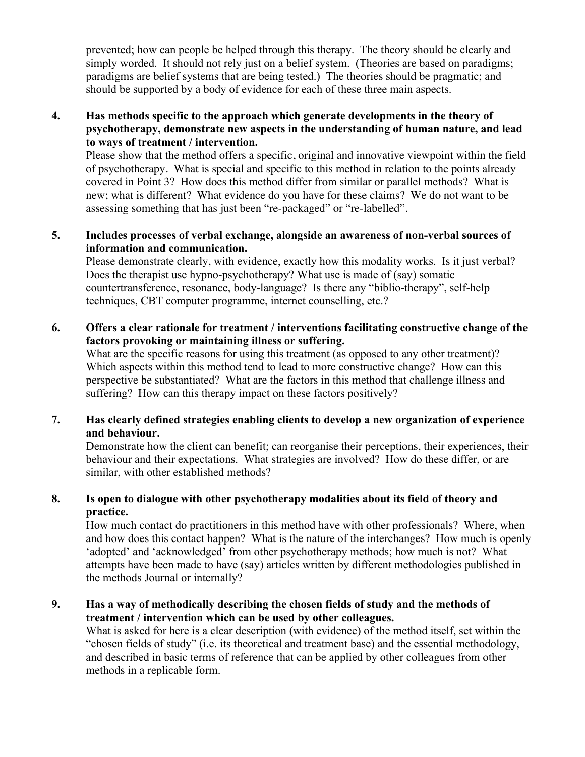prevented; how can people be helped through this therapy. The theory should be clearly and simply worded. It should not rely just on a belief system. (Theories are based on paradigms; paradigms are belief systems that are being tested.) The theories should be pragmatic; and should be supported by a body of evidence for each of these three main aspects.

#### **4. Has methods specific to the approach which generate developments in the theory of psychotherapy, demonstrate new aspects in the understanding of human nature, and lead to ways of treatment / intervention.**

Please show that the method offers a specific, original and innovative viewpoint within the field of psychotherapy. What is special and specific to this method in relation to the points already covered in Point 3? How does this method differ from similar or parallel methods? What is new; what is different? What evidence do you have for these claims? We do not want to be assessing something that has just been "re-packaged" or "re-labelled".

### **5. Includes processes of verbal exchange, alongside an awareness of non-verbal sources of information and communication.**

Please demonstrate clearly, with evidence, exactly how this modality works. Is it just verbal? Does the therapist use hypno-psychotherapy? What use is made of (say) somatic countertransference, resonance, body-language? Is there any "biblio-therapy", self-help techniques, CBT computer programme, internet counselling, etc.?

### **6. Offers a clear rationale for treatment / interventions facilitating constructive change of the factors provoking or maintaining illness or suffering.**

What are the specific reasons for using this treatment (as opposed to any other treatment)? Which aspects within this method tend to lead to more constructive change? How can this perspective be substantiated? What are the factors in this method that challenge illness and suffering? How can this therapy impact on these factors positively?

### **7. Has clearly defined strategies enabling clients to develop a new organization of experience and behaviour.**

Demonstrate how the client can benefit; can reorganise their perceptions, their experiences, their behaviour and their expectations. What strategies are involved? How do these differ, or are similar, with other established methods?

### **8. Is open to dialogue with other psychotherapy modalities about its field of theory and practice.**

How much contact do practitioners in this method have with other professionals? Where, when and how does this contact happen? What is the nature of the interchanges? How much is openly 'adopted' and 'acknowledged' from other psychotherapy methods; how much is not? What attempts have been made to have (say) articles written by different methodologies published in the methods Journal or internally?

### **9. Has a way of methodically describing the chosen fields of study and the methods of treatment / intervention which can be used by other colleagues.**

What is asked for here is a clear description (with evidence) of the method itself, set within the "chosen fields of study" (i.e. its theoretical and treatment base) and the essential methodology, and described in basic terms of reference that can be applied by other colleagues from other methods in a replicable form.